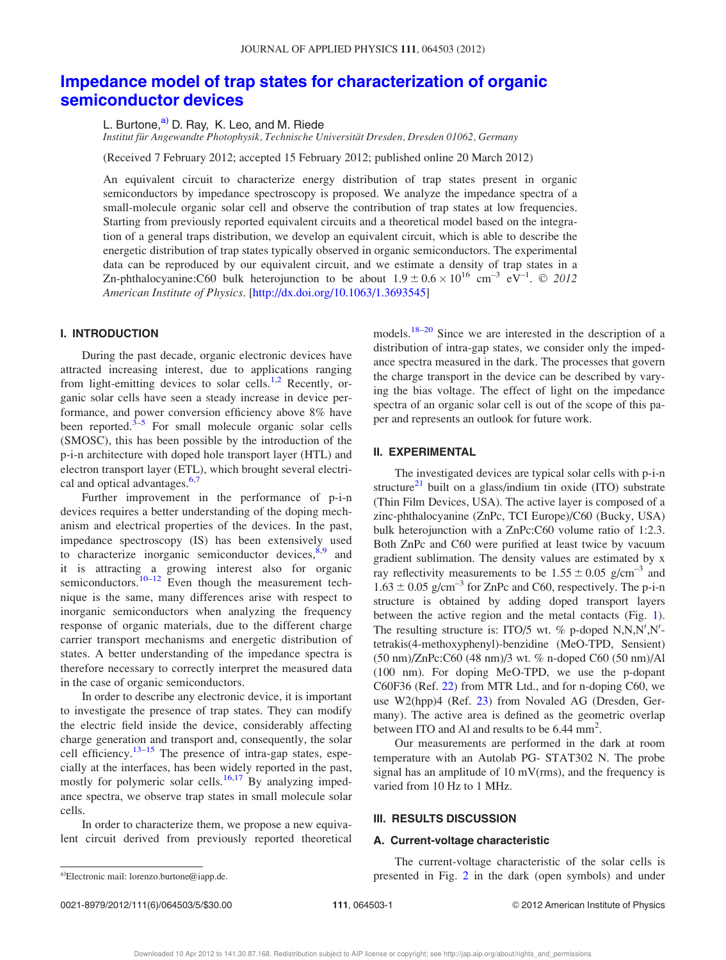# Impedance model of trap states for characterization of organic semiconductor devices

L. Burtone,<sup>a)</sup> D. Ray, K. Leo, and M. Riede

Institut für Angewandte Photophysik, Technische Universität Dresden, Dresden 01062, Germany

(Received 7 February 2012; accepted 15 February 2012; published online 20 March 2012)

An equivalent circuit to characterize energy distribution of trap states present in organic semiconductors by impedance spectroscopy is proposed. We analyze the impedance spectra of a small-molecule organic solar cell and observe the contribution of trap states at low frequencies. Starting from previously reported equivalent circuits and a theoretical model based on the integration of a general traps distribution, we develop an equivalent circuit, which is able to describe the energetic distribution of trap states typically observed in organic semiconductors. The experimental data can be reproduced by our equivalent circuit, and we estimate a density of trap states in a Zn-phthalocyanine:C60 bulk heterojunction to be about  $1.9 \pm 0.6 \times 10^{16}$  cm<sup>-3</sup> eV<sup>-1</sup>. © 2012 American Institute of Physics. [http://dx.doi.org/10.1063/1.3693545]

## I. INTRODUCTION

During the past decade, organic electronic devices have attracted increasing interest, due to applications ranging from light-emitting devices to solar cells.<sup>1,2</sup> Recently, organic solar cells have seen a steady increase in device performance, and power conversion efficiency above 8% have been reported. $3\frac{3}{5}$  For small molecule organic solar cells (SMOSC), this has been possible by the introduction of the p-i-n architecture with doped hole transport layer (HTL) and electron transport layer (ETL), which brought several electrical and optical advantages. $6,7$ 

Further improvement in the performance of p-i-n devices requires a better understanding of the doping mechanism and electrical properties of the devices. In the past, impedance spectroscopy (IS) has been extensively used to characterize inorganic semiconductor devices,  $8,9$  and it is attracting a growing interest also for organic semiconductors.<sup>10–12</sup> Even though the measurement technique is the same, many differences arise with respect to inorganic semiconductors when analyzing the frequency response of organic materials, due to the different charge carrier transport mechanisms and energetic distribution of states. A better understanding of the impedance spectra is therefore necessary to correctly interpret the measured data in the case of organic semiconductors.

In order to describe any electronic device, it is important to investigate the presence of trap states. They can modify the electric field inside the device, considerably affecting charge generation and transport and, consequently, the solar cell efficiency.<sup>13–15</sup> The presence of intra-gap states, especially at the interfaces, has been widely reported in the past, mostly for polymeric solar cells.<sup>16,17</sup> By analyzing impedance spectra, we observe trap states in small molecule solar cells.

In order to characterize them, we propose a new equivalent circuit derived from previously reported theoretical models.<sup>18–20</sup> Since we are interested in the description of a distribution of intra-gap states, we consider only the impedance spectra measured in the dark. The processes that govern the charge transport in the device can be described by varying the bias voltage. The effect of light on the impedance spectra of an organic solar cell is out of the scope of this paper and represents an outlook for future work.

### II. EXPERIMENTAL

The investigated devices are typical solar cells with p-i-n structure<sup>21</sup> built on a glass/indium tin oxide (ITO) substrate (Thin Film Devices, USA). The active layer is composed of a zinc-phthalocyanine (ZnPc, TCI Europe)/C60 (Bucky, USA) bulk heterojunction with a ZnPc:C60 volume ratio of 1:2.3. Both ZnPc and C60 were purified at least twice by vacuum gradient sublimation. The density values are estimated by x ray reflectivity measurements to be  $1.55 \pm 0.05$  g/cm<sup>-3</sup> and  $1.63 \pm 0.05$  g/cm<sup>-3</sup> for ZnPc and C60, respectively. The p-i-n structure is obtained by adding doped transport layers between the active region and the metal contacts (Fig. 1). The resulting structure is: ITO/5 wt. % p-doped  $N, N, N', N'$ tetrakis(4-methoxyphenyl)-benzidine (MeO-TPD, Sensient) (50 nm)/ZnPc:C60 (48 nm)/3 wt. % n-doped C60 (50 nm)/Al (100 nm). For doping MeO-TPD, we use the p-dopant C60F36 (Ref. 22) from MTR Ltd., and for n-doping C60, we use W2(hpp)4 (Ref. 23) from Novaled AG (Dresden, Germany). The active area is defined as the geometric overlap between ITO and Al and results to be 6.44 mm<sup>2</sup>.

Our measurements are performed in the dark at room temperature with an Autolab PG- STAT302 N. The probe signal has an amplitude of 10 mV(rms), and the frequency is varied from 10 Hz to 1 MHz.

#### III. RESULTS DISCUSSION

#### A. Current-voltage characteristic

The current-voltage characteristic of the solar cells is a)Electronic mail: lorenzo.burtone@iapp.de. **a)** presented in Fig. 2 in the dark (open symbols) and under

0021-8979/2012/111(6)/064503/5/\$30.00 111, 064503-1 © 2012 American Institute of Physics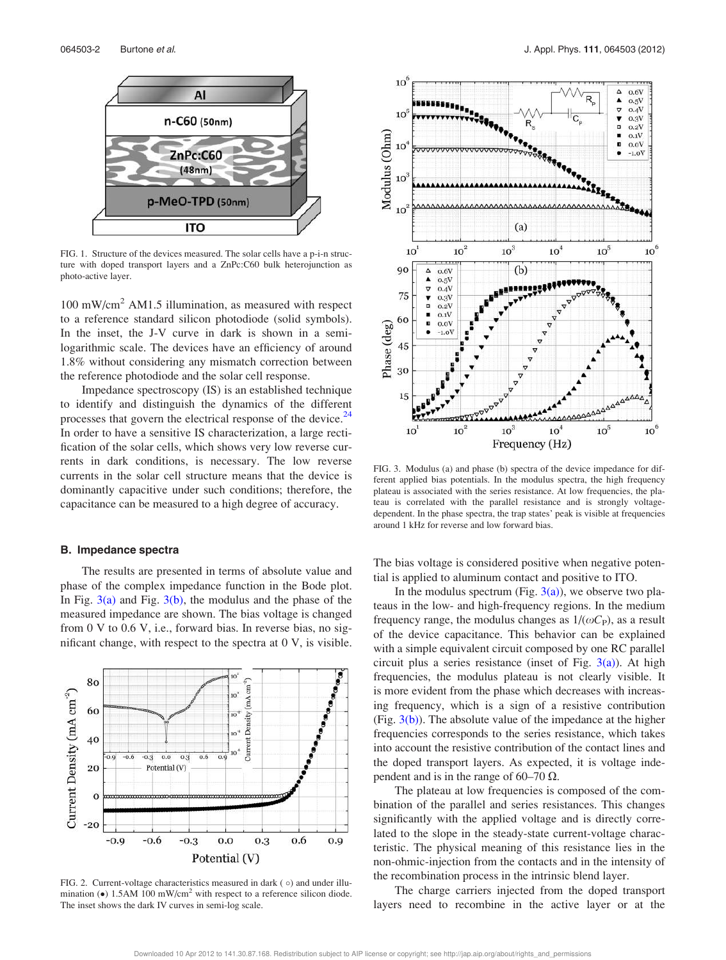

FIG. 1. Structure of the devices measured. The solar cells have a p-i-n structure with doped transport layers and a ZnPc:C60 bulk heterojunction as photo-active layer.

 $100 \text{ mW/cm}^2$  AM1.5 illumination, as measured with respect to a reference standard silicon photodiode (solid symbols). In the inset, the J-V curve in dark is shown in a semilogarithmic scale. The devices have an efficiency of around 1.8% without considering any mismatch correction between the reference photodiode and the solar cell response.

Impedance spectroscopy (IS) is an established technique to identify and distinguish the dynamics of the different processes that govern the electrical response of the device. $^{24}$ In order to have a sensitive IS characterization, a large rectification of the solar cells, which shows very low reverse currents in dark conditions, is necessary. The low reverse currents in the solar cell structure means that the device is dominantly capacitive under such conditions; therefore, the capacitance can be measured to a high degree of accuracy.

#### B. Impedance spectra

The results are presented in terms of absolute value and phase of the complex impedance function in the Bode plot. In Fig.  $3(a)$  and Fig.  $3(b)$ , the modulus and the phase of the measured impedance are shown. The bias voltage is changed from 0 V to 0.6 V, i.e., forward bias. In reverse bias, no significant change, with respect to the spectra at 0 V, is visible.



FIG. 2. Current-voltage characteristics measured in dark  $( \circ )$  and under illumination  $\textbf{(•)}$  1.5AM 100 mW/cm<sup>2</sup> with respect to a reference silicon diode. The inset shows the dark IV curves in semi-log scale.



FIG. 3. Modulus (a) and phase (b) spectra of the device impedance for different applied bias potentials. In the modulus spectra, the high frequency plateau is associated with the series resistance. At low frequencies, the plateau is correlated with the parallel resistance and is strongly voltagedependent. In the phase spectra, the trap states' peak is visible at frequencies around 1 kHz for reverse and low forward bias.

The bias voltage is considered positive when negative potential is applied to aluminum contact and positive to ITO.

In the modulus spectrum (Fig.  $3(a)$ ), we observe two plateaus in the low- and high-frequency regions. In the medium frequency range, the modulus changes as  $1/(\omega C_P)$ , as a result of the device capacitance. This behavior can be explained with a simple equivalent circuit composed by one RC parallel circuit plus a series resistance (inset of Fig.  $3(a)$ ). At high frequencies, the modulus plateau is not clearly visible. It is more evident from the phase which decreases with increasing frequency, which is a sign of a resistive contribution (Fig.  $3(b)$ ). The absolute value of the impedance at the higher frequencies corresponds to the series resistance, which takes into account the resistive contribution of the contact lines and the doped transport layers. As expected, it is voltage independent and is in the range of 60–70  $\Omega$ .

The plateau at low frequencies is composed of the combination of the parallel and series resistances. This changes significantly with the applied voltage and is directly correlated to the slope in the steady-state current-voltage characteristic. The physical meaning of this resistance lies in the non-ohmic-injection from the contacts and in the intensity of the recombination process in the intrinsic blend layer.

The charge carriers injected from the doped transport layers need to recombine in the active layer or at the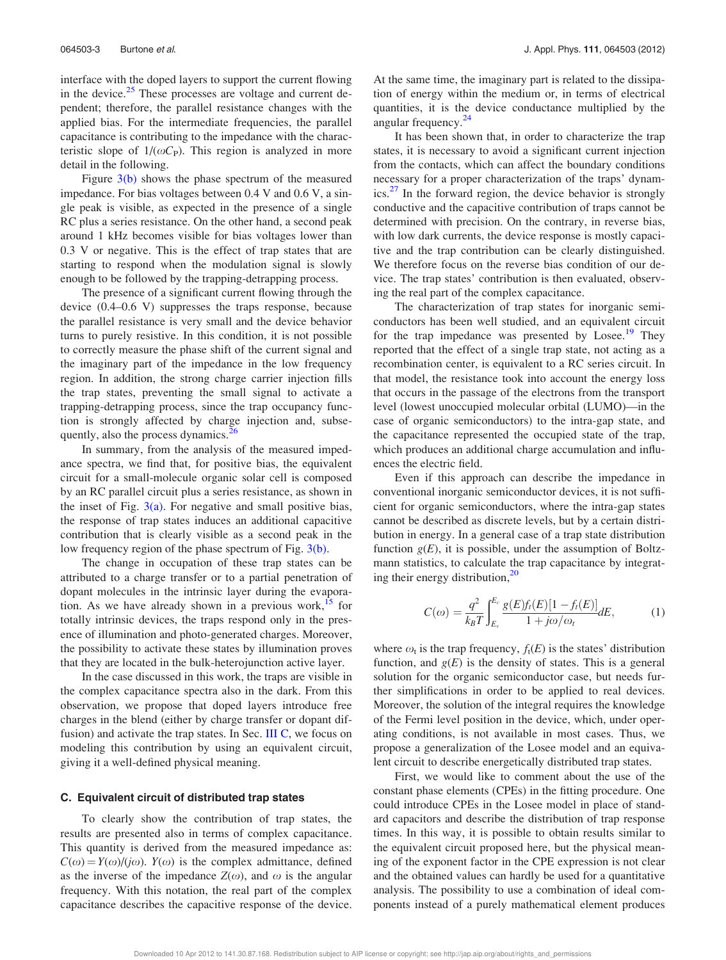interface with the doped layers to support the current flowing in the device. $25$  These processes are voltage and current dependent; therefore, the parallel resistance changes with the applied bias. For the intermediate frequencies, the parallel capacitance is contributing to the impedance with the characteristic slope of  $1/(\omega C_P)$ . This region is analyzed in more detail in the following.

Figure 3(b) shows the phase spectrum of the measured impedance. For bias voltages between 0.4 V and 0.6 V, a single peak is visible, as expected in the presence of a single RC plus a series resistance. On the other hand, a second peak around 1 kHz becomes visible for bias voltages lower than 0.3 V or negative. This is the effect of trap states that are starting to respond when the modulation signal is slowly enough to be followed by the trapping-detrapping process.

The presence of a significant current flowing through the device (0.4–0.6 V) suppresses the traps response, because the parallel resistance is very small and the device behavior turns to purely resistive. In this condition, it is not possible to correctly measure the phase shift of the current signal and the imaginary part of the impedance in the low frequency region. In addition, the strong charge carrier injection fills the trap states, preventing the small signal to activate a trapping-detrapping process, since the trap occupancy function is strongly affected by charge injection and, subsequently, also the process dynamics.<sup>26</sup>

In summary, from the analysis of the measured impedance spectra, we find that, for positive bias, the equivalent circuit for a small-molecule organic solar cell is composed by an RC parallel circuit plus a series resistance, as shown in the inset of Fig.  $3(a)$ . For negative and small positive bias, the response of trap states induces an additional capacitive contribution that is clearly visible as a second peak in the low frequency region of the phase spectrum of Fig. 3(b).

The change in occupation of these trap states can be attributed to a charge transfer or to a partial penetration of dopant molecules in the intrinsic layer during the evaporation. As we have already shown in a previous work,  $15$  for totally intrinsic devices, the traps respond only in the presence of illumination and photo-generated charges. Moreover, the possibility to activate these states by illumination proves that they are located in the bulk-heterojunction active layer.

In the case discussed in this work, the traps are visible in the complex capacitance spectra also in the dark. From this observation, we propose that doped layers introduce free charges in the blend (either by charge transfer or dopant diffusion) and activate the trap states. In Sec. III C, we focus on modeling this contribution by using an equivalent circuit, giving it a well-defined physical meaning.

#### C. Equivalent circuit of distributed trap states

To clearly show the contribution of trap states, the results are presented also in terms of complex capacitance. This quantity is derived from the measured impedance as:  $C(\omega) = Y(\omega)/(j\omega)$ .  $Y(\omega)$  is the complex admittance, defined as the inverse of the impedance  $Z(\omega)$ , and  $\omega$  is the angular frequency. With this notation, the real part of the complex capacitance describes the capacitive response of the device. At the same time, the imaginary part is related to the dissipation of energy within the medium or, in terms of electrical quantities, it is the device conductance multiplied by the angular frequency.<sup>24</sup>

It has been shown that, in order to characterize the trap states, it is necessary to avoid a significant current injection from the contacts, which can affect the boundary conditions necessary for a proper characterization of the traps' dynamics. $27$  In the forward region, the device behavior is strongly conductive and the capacitive contribution of traps cannot be determined with precision. On the contrary, in reverse bias, with low dark currents, the device response is mostly capacitive and the trap contribution can be clearly distinguished. We therefore focus on the reverse bias condition of our device. The trap states' contribution is then evaluated, observing the real part of the complex capacitance.

The characterization of trap states for inorganic semiconductors has been well studied, and an equivalent circuit for the trap impedance was presented by Losee.<sup>19</sup> They reported that the effect of a single trap state, not acting as a recombination center, is equivalent to a RC series circuit. In that model, the resistance took into account the energy loss that occurs in the passage of the electrons from the transport level (lowest unoccupied molecular orbital (LUMO)—in the case of organic semiconductors) to the intra-gap state, and the capacitance represented the occupied state of the trap, which produces an additional charge accumulation and influences the electric field.

Even if this approach can describe the impedance in conventional inorganic semiconductor devices, it is not sufficient for organic semiconductors, where the intra-gap states cannot be described as discrete levels, but by a certain distribution in energy. In a general case of a trap state distribution function  $g(E)$ , it is possible, under the assumption of Boltzmann statistics, to calculate the trap capacitance by integrating their energy distribution,<sup>20</sup>

$$
C(\omega) = \frac{q^2}{k_B T} \int_{E_v}^{E_c} \frac{g(E)f_t(E)[1 - f_t(E)]}{1 + j\omega/\omega_t} dE,
$$
 (1)

where  $\omega_t$  is the trap frequency,  $f_t(E)$  is the states' distribution function, and  $g(E)$  is the density of states. This is a general solution for the organic semiconductor case, but needs further simplifications in order to be applied to real devices. Moreover, the solution of the integral requires the knowledge of the Fermi level position in the device, which, under operating conditions, is not available in most cases. Thus, we propose a generalization of the Losee model and an equivalent circuit to describe energetically distributed trap states.

First, we would like to comment about the use of the constant phase elements (CPEs) in the fitting procedure. One could introduce CPEs in the Losee model in place of standard capacitors and describe the distribution of trap response times. In this way, it is possible to obtain results similar to the equivalent circuit proposed here, but the physical meaning of the exponent factor in the CPE expression is not clear and the obtained values can hardly be used for a quantitative analysis. The possibility to use a combination of ideal components instead of a purely mathematical element produces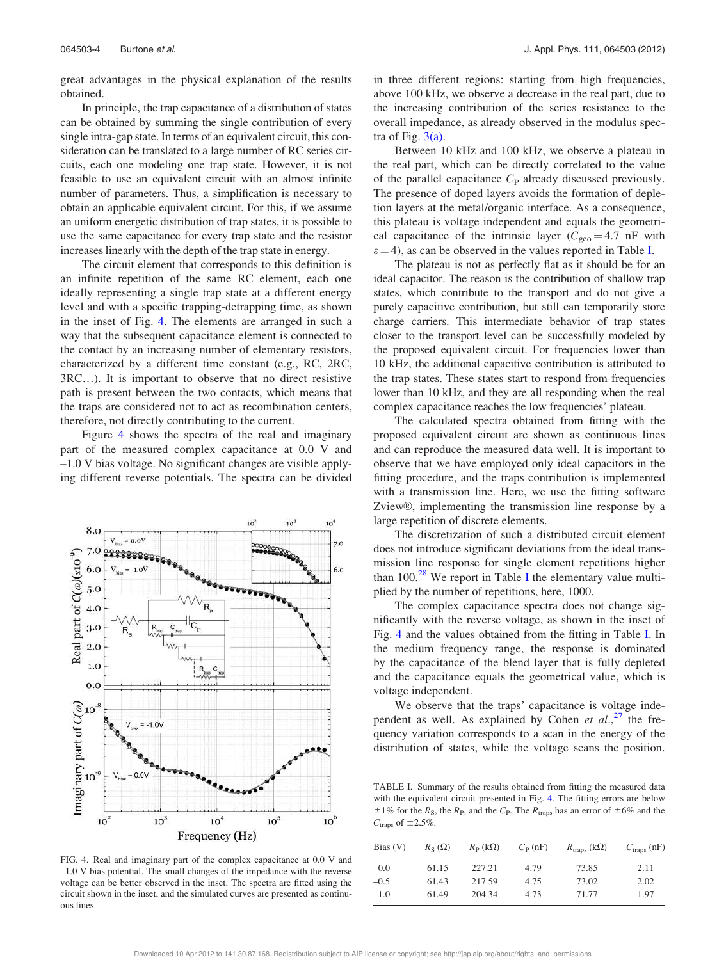great advantages in the physical explanation of the results obtained.

In principle, the trap capacitance of a distribution of states can be obtained by summing the single contribution of every single intra-gap state. In terms of an equivalent circuit, this consideration can be translated to a large number of RC series circuits, each one modeling one trap state. However, it is not feasible to use an equivalent circuit with an almost infinite number of parameters. Thus, a simplification is necessary to obtain an applicable equivalent circuit. For this, if we assume an uniform energetic distribution of trap states, it is possible to use the same capacitance for every trap state and the resistor increases linearly with the depth of the trap state in energy.

The circuit element that corresponds to this definition is an infinite repetition of the same RC element, each one ideally representing a single trap state at a different energy level and with a specific trapping-detrapping time, as shown in the inset of Fig. 4. The elements are arranged in such a way that the subsequent capacitance element is connected to the contact by an increasing number of elementary resistors, characterized by a different time constant (e.g., RC, 2RC, 3RC…). It is important to observe that no direct resistive path is present between the two contacts, which means that the traps are considered not to act as recombination centers, therefore, not directly contributing to the current.

Figure 4 shows the spectra of the real and imaginary part of the measured complex capacitance at 0.0 V and –1.0 V bias voltage. No significant changes are visible applying different reverse potentials. The spectra can be divided



FIG. 4. Real and imaginary part of the complex capacitance at 0.0 V and –1.0 V bias potential. The small changes of the impedance with the reverse voltage can be better observed in the inset. The spectra are fitted using the circuit shown in the inset, and the simulated curves are presented as continuous lines.

in three different regions: starting from high frequencies, above 100 kHz, we observe a decrease in the real part, due to the increasing contribution of the series resistance to the overall impedance, as already observed in the modulus spectra of Fig.  $3(a)$ .

Between 10 kHz and 100 kHz, we observe a plateau in the real part, which can be directly correlated to the value of the parallel capacitance  $C_{\rm P}$  already discussed previously. The presence of doped layers avoids the formation of depletion layers at the metal/organic interface. As a consequence, this plateau is voltage independent and equals the geometrical capacitance of the intrinsic layer ( $C_{\text{geo}} = 4.7 \text{ nF}$  with  $\varepsilon$  = 4), as can be observed in the values reported in Table I.

The plateau is not as perfectly flat as it should be for an ideal capacitor. The reason is the contribution of shallow trap states, which contribute to the transport and do not give a purely capacitive contribution, but still can temporarily store charge carriers. This intermediate behavior of trap states closer to the transport level can be successfully modeled by the proposed equivalent circuit. For frequencies lower than 10 kHz, the additional capacitive contribution is attributed to the trap states. These states start to respond from frequencies lower than 10 kHz, and they are all responding when the real complex capacitance reaches the low frequencies' plateau.

The calculated spectra obtained from fitting with the proposed equivalent circuit are shown as continuous lines and can reproduce the measured data well. It is important to observe that we have employed only ideal capacitors in the fitting procedure, and the traps contribution is implemented with a transmission line. Here, we use the fitting software Zview®, implementing the transmission line response by a large repetition of discrete elements.

The discretization of such a distributed circuit element does not introduce significant deviations from the ideal transmission line response for single element repetitions higher than  $100<sup>28</sup>$  We report in Table I the elementary value multiplied by the number of repetitions, here, 1000.

The complex capacitance spectra does not change significantly with the reverse voltage, as shown in the inset of Fig. 4 and the values obtained from the fitting in Table I. In the medium frequency range, the response is dominated by the capacitance of the blend layer that is fully depleted and the capacitance equals the geometrical value, which is voltage independent.

We observe that the traps' capacitance is voltage independent as well. As explained by Cohen et  $al$ ,<sup>27</sup> the frequency variation corresponds to a scan in the energy of the distribution of states, while the voltage scans the position.

TABLE I. Summary of the results obtained from fitting the measured data with the equivalent circuit presented in Fig. 4. The fitting errors are below  $\pm 1\%$  for the R<sub>S</sub>, the R<sub>P</sub>, and the C<sub>P</sub>. The R<sub>traps</sub> has an error of  $\pm 6\%$  and the  $C_{\text{traps}}$  of  $\pm 2.5\%$ .

| Bias $(V)$ | $R_{\rm S}(\Omega)$ | $R_P(k\Omega)$ | $C_{\rm P}$ (nF) | $R_{\text{trans}}\left(\text{k}\Omega\right)$ | $C_{\text{trans}}$ (nF) |
|------------|---------------------|----------------|------------------|-----------------------------------------------|-------------------------|
| 0.0        | 61.15               | 227.21         | 4.79             | 73.85                                         | 2.11                    |
| $-0.5$     | 61.43               | 217.59         | 4.75             | 73.02                                         | 2.02                    |
| $-1.0$     | 61.49               | 204.34         | 4.73             | 71.77                                         | 1.97                    |